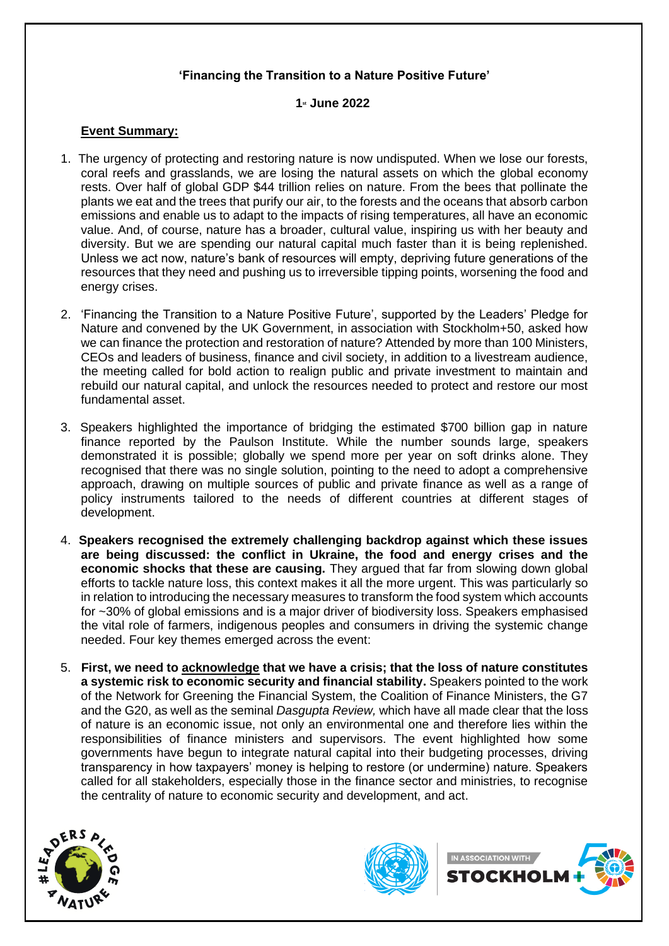## **'Financing the Transition to a Nature Positive Future'**

## **1st June 2022**

## **Event Summary:**

- 1. The urgency of protecting and restoring nature is now undisputed. When we lose our forests, coral reefs and grasslands, we are losing the natural assets on which the global economy rests. Over half of global GDP \$44 trillion relies on nature. From the bees that pollinate the plants we eat and the trees that purify our air, to the forests and the oceans that absorb carbon emissions and enable us to adapt to the impacts of rising temperatures, all have an economic value. And, of course, nature has a broader, cultural value, inspiring us with her beauty and diversity. But we are spending our natural capital much faster than it is being replenished. Unless we act now, nature's bank of resources will empty, depriving future generations of the resources that they need and pushing us to irreversible tipping points, worsening the food and energy crises.
- 2. 'Financing the Transition to a Nature Positive Future', supported by the Leaders' Pledge for Nature and convened by the UK Government, in association with Stockholm+50, asked how we can finance the protection and restoration of nature? Attended by more than 100 Ministers, CEOs and leaders of business, finance and civil society, in addition to a livestream audience, the meeting called for bold action to realign public and private investment to maintain and rebuild our natural capital, and unlock the resources needed to protect and restore our most fundamental asset.
- 3. Speakers highlighted the importance of bridging the estimated \$700 billion gap in nature finance reported by the Paulson Institute. While the number sounds large, speakers demonstrated it is possible; globally we spend more per year on soft drinks alone. They recognised that there was no single solution, pointing to the need to adopt a comprehensive approach, drawing on multiple sources of public and private finance as well as a range of policy instruments tailored to the needs of different countries at different stages of development.
- 4. **Speakers recognised the extremely challenging backdrop against which these issues are being discussed: the conflict in Ukraine, the food and energy crises and the economic shocks that these are causing.** They argued that far from slowing down global efforts to tackle nature loss, this context makes it all the more urgent. This was particularly so in relation to introducing the necessary measures to transform the food system which accounts for ~30% of global emissions and is a major driver of biodiversity loss. Speakers emphasised the vital role of farmers, indigenous peoples and consumers in driving the systemic change needed. Four key themes emerged across the event:
- 5. **First, we need to acknowledge that we have a crisis; that the loss of nature constitutes a systemic risk to economic security and financial stability.** Speakers pointed to the work of the Network for Greening the Financial System, the Coalition of Finance Ministers, the G7 and the G20, as well as the seminal *Dasgupta Review,* which have all made clear that the loss of nature is an economic issue, not only an environmental one and therefore lies within the responsibilities of finance ministers and supervisors. The event highlighted how some governments have begun to integrate natural capital into their budgeting processes, driving transparency in how taxpayers' money is helping to restore (or undermine) nature. Speakers called for all stakeholders, especially those in the finance sector and ministries, to recognise the centrality of nature to economic security and development, and act.





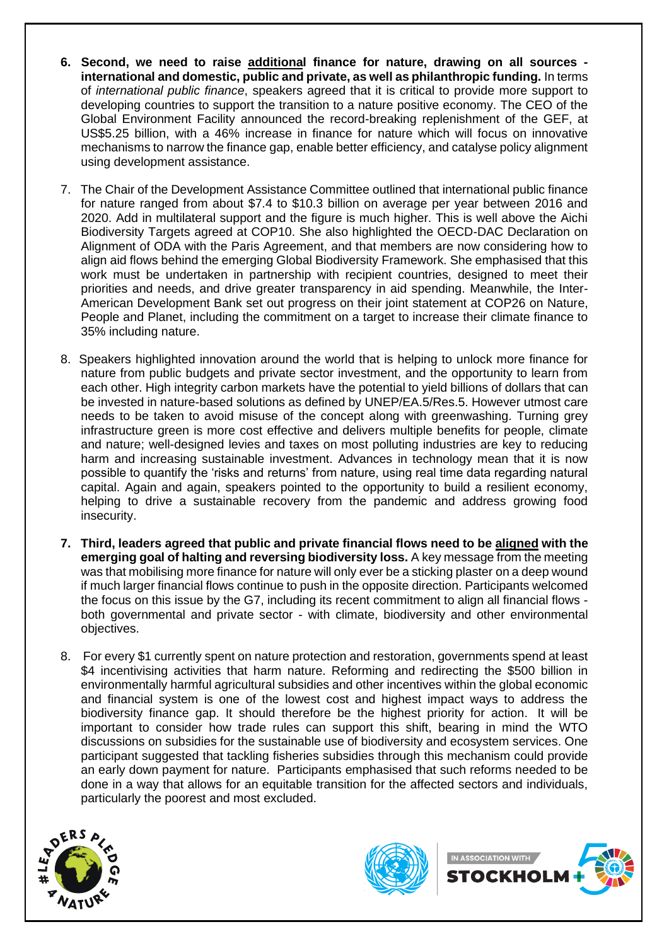- **6. Second, we need to raise additional finance for nature, drawing on all sources international and domestic, public and private, as well as philanthropic funding.** In terms of *international public finance*, speakers agreed that it is critical to provide more support to developing countries to support the transition to a nature positive economy. The CEO of the Global Environment Facility announced the record-breaking replenishment of the GEF, at US\$5.25 billion, with a 46% increase in finance for nature which will focus on innovative mechanisms to narrow the finance gap, enable better efficiency, and catalyse policy alignment using development assistance.
- 7. The Chair of the Development Assistance Committee outlined that international public finance for nature ranged from about \$7.4 to \$10.3 billion on average per year between 2016 and 2020. Add in multilateral support and the figure is much higher. This is well above the Aichi Biodiversity Targets agreed at COP10. She also highlighted the OECD-DAC Declaration on Alignment of ODA with the Paris Agreement, and that members are now considering how to align aid flows behind the emerging Global Biodiversity Framework. She emphasised that this work must be undertaken in partnership with recipient countries, designed to meet their priorities and needs, and drive greater transparency in aid spending. Meanwhile, the Inter-American Development Bank set out progress on their joint statement at COP26 on Nature, People and Planet, including the commitment on a target to increase their climate finance to 35% including nature.
- 8. Speakers highlighted innovation around the world that is helping to unlock more finance for nature from public budgets and private sector investment, and the opportunity to learn from each other. High integrity carbon markets have the potential to yield billions of dollars that can be invested in nature-based solutions as defined by UNEP/EA.5/Res.5. However utmost care needs to be taken to avoid misuse of the concept along with greenwashing. Turning grey infrastructure green is more cost effective and delivers multiple benefits for people, climate and nature; well-designed levies and taxes on most polluting industries are key to reducing harm and increasing sustainable investment. Advances in technology mean that it is now possible to quantify the 'risks and returns' from nature, using real time data regarding natural capital. Again and again, speakers pointed to the opportunity to build a resilient economy, helping to drive a sustainable recovery from the pandemic and address growing food insecurity.
- **7. Third, leaders agreed that public and private financial flows need to be aligned with the emerging goal of halting and reversing biodiversity loss.** A key message from the meeting was that mobilising more finance for nature will only ever be a sticking plaster on a deep wound if much larger financial flows continue to push in the opposite direction. Participants welcomed the focus on this issue by the G7, including its recent commitment to align all financial flows both governmental and private sector - with climate, biodiversity and other environmental objectives.
- 8. For every \$1 currently spent on nature protection and restoration, governments spend at least \$4 incentivising activities that harm nature. Reforming and redirecting the \$500 billion in environmentally harmful agricultural subsidies and other incentives within the global economic and financial system is one of the lowest cost and highest impact ways to address the biodiversity finance gap. It should therefore be the highest priority for action. It will be important to consider how trade rules can support this shift, bearing in mind the WTO discussions on subsidies for the sustainable use of biodiversity and ecosystem services. One participant suggested that tackling fisheries subsidies through this mechanism could provide an early down payment for nature. Participants emphasised that such reforms needed to be done in a way that allows for an equitable transition for the affected sectors and individuals, particularly the poorest and most excluded.